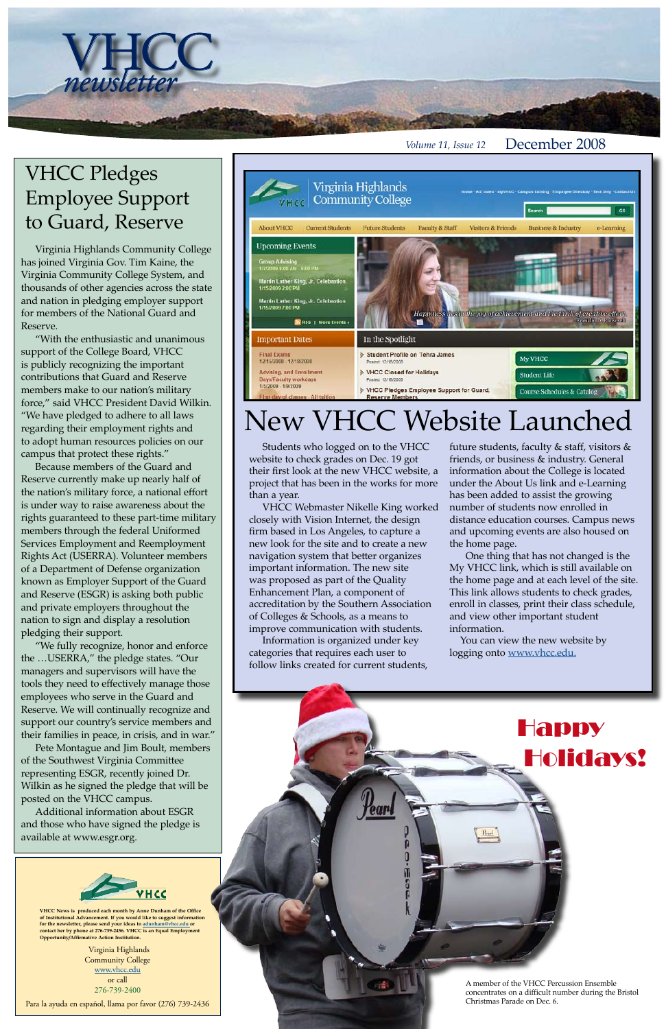Virginia Highlands Community College www.vhcc.edu or call 276-739-2400

Para la ayuda en español, llama por favor (276) 739-2436

**VHCC News is produced each month by Anne Dunham of the Office of Institutional Advancement. If you would like to suggest information for the newsletter, please send your ideas to adunham@vhcc.edu or contact her by phone at 276-739-2456. VHCC is an Equal Employment Opportunity/Affirmative Action Institution.**

*Volume 11, Issue 12* December 2008

VHCC Pledges Employee Support to Guard, Reserve

newsletter

Virginia Highlands Community College has joined Virginia Gov. Tim Kaine, the Virginia Community College System, and thousands of other agencies across the state and nation in pledging employer support for members of the National Guard and Reserve.

"With the enthusiastic and unanimous support of the College Board, VHCC is publicly recognizing the important contributions that Guard and Reserve members make to our nation's military force," said VHCC President David Wilkin. "We have pledged to adhere to all laws regarding their employment rights and to adopt human resources policies on our campus that protect these rights."

Because members of the Guard and Reserve currently make up nearly half of the nation's military force, a national effort is under way to raise awareness about the rights guaranteed to these part-time military members through the federal Uniformed Services Employment and Reemployment Rights Act (USERRA). Volunteer members of a Department of Defense organization known as Employer Support of the Guard and Reserve (ESGR) is asking both public and private employers throughout the nation to sign and display a resolution pledging their support.

 You can view the new website by logging onto www.vhcc.edu.

"We fully recognize, honor and enforce the …USERRA," the pledge states. "Our managers and supervisors will have the tools they need to effectively manage those employees who serve in the Guard and Reserve. We will continually recognize and support our country's service members and their families in peace, in crisis, and in war."

Pete Montague and Jim Boult, members



of the Southwest Virginia Committee representing ESGR, recently joined Dr. Wilkin as he signed the pledge that will be posted on the VHCC campus.

Additional information about ESGR and those who have signed the pledge is available at www.esgr.org.



## New VHCC Website Launched

 Students who logged on to the VHCC website to check grades on Dec. 19 got their first look at the new VHCC website, a project that has been in the works for more than a year.

 VHCC Webmaster Nikelle King worked closely with Vision Internet, the design firm based in Los Angeles, to capture a new look for the site and to create a new navigation system that better organizes important information. The new site was proposed as part of the Quality Enhancement Plan, a component of accreditation by the Southern Association of Colleges & Schools, as a means to improve communication with students.

 Information is organized under key categories that requires each user to follow links created for current students,



future students, faculty & staff, visitors & friends, or business & industry. General information about the College is located under the About Us link and e-Learning has been added to assist the growing number of students now enrolled in distance education courses. Campus news and upcoming events are also housed on the home page.

 One thing that has not changed is the My VHCC link, which is still available on the home page and at each level of the site. This link allows students to check grades, enroll in classes, print their class schedule, and view other important student information.